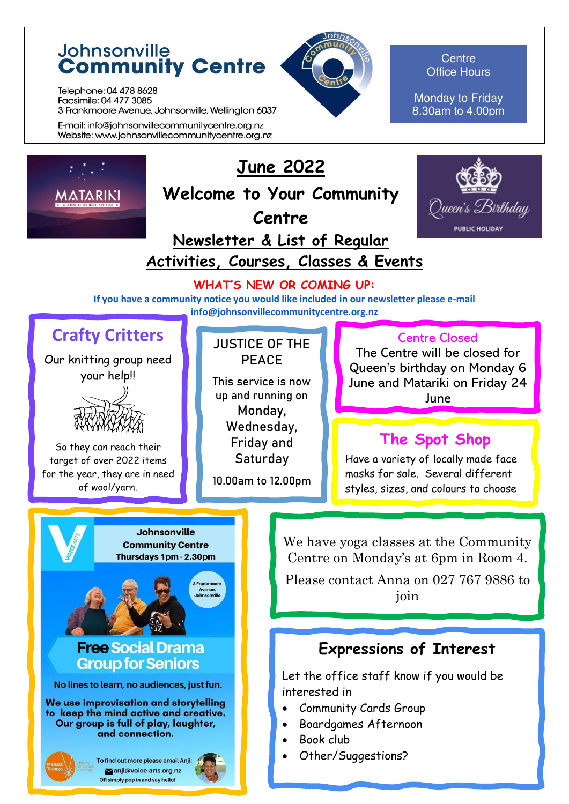## Johnsonville **Community Centre**

Telephone: 04 478 8628 Facsimile: 04 477 3085 3 Frankmoore Avenue, Johnsonville, Wellington 6037

E-mail: info@johnsonvillecommunitycentre.org.nz Website: www.johnsonvillecommunitycentre.org.nz



**Centre** Office Hours

Monday to Friday 8.30am to 4.00pm



# **June 2022**

**Welcome to Your Community Centre** 



## **Newsletter & List of Regular Activities, Courses, Classes & Events**

### **WHAT'S NEW OR COMING UP:**

**If you have a community notice you would like included in our newsletter please e-mail info@johnsonvillecommunitycentre.org.nz** 

## **Crafty Critters**

Our knitting group need your help!!



So they can reach their target of over 2022 items for the year, they are in need of wool/yarn.

### **JUSTICE OF THE PEACE**

This service is now up and running on Monday, Wednesday, Friday and **Saturdav** 

10.00am to 12.00pm

### Centre Closed

The Centre will be closed for Queen's birthday on Monday 6 June and Matariki on Friday 24 June

## **The Spot Shop**

Have a variety of locally made face masks for sale. Several different styles, sizes, and colours to choose

**Johnsonville Community Centre** Thursdays 1pm - 2.30pm

### **Free Social Drama Group for Seniors**

No lines to learn, no audiences, just fun.

We use improvisation and storytelling to keep the mind active and creative. Our group is full of play, laughter, and connection.

To find out more please email Anji: anji@voice-arts.org.nz OR simply pop in and say hello!

We have yoga classes at the Community Centre on Monday's at 6pm in Room 4.

Please contact Anna on 027 767 9886 to join

## **Expressions of Interest**

Let the office staff know if you would be interested in

- Community Cards Group
- Boardgames Afternoon
- Book club
- Other/Suggestions?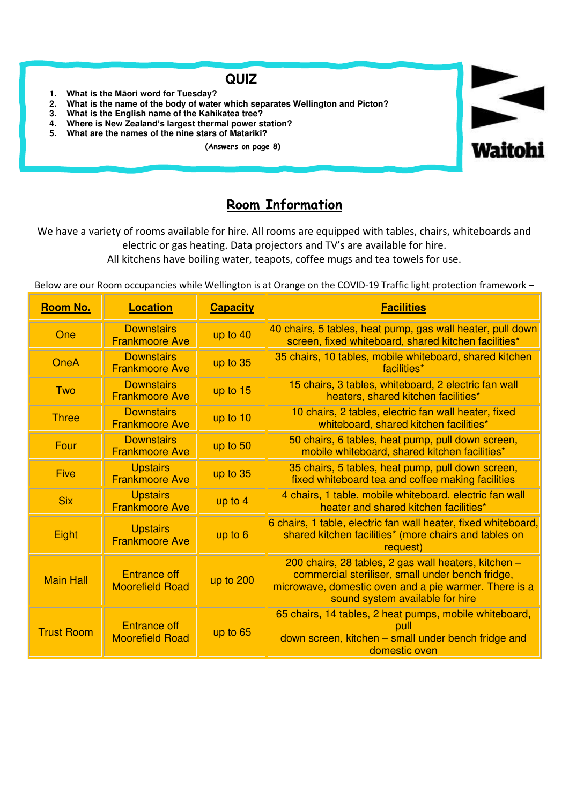### **QUIZ**

- **1. What is the Māori word for Tuesday?**
- **2. What is the name of the body of water which separates Wellington and Picton?**
- **3. What is the English name of the Kahikatea tree?**
- **4. Where is New Zealand's largest thermal power station?**
- **5. What are the names of the nine stars of Matariki?** 
	- **(Answers on page 8)**



### **Room Information**

We have a variety of rooms available for hire. All rooms are equipped with tables, chairs, whiteboards and electric or gas heating. Data projectors and TV's are available for hire.

All kitchens have boiling water, teapots, coffee mugs and tea towels for use.

Below are our Room occupancies while Wellington is at Orange on the COVID-19 Traffic light protection framework –

| <b>Room No.</b>   | <b>Location</b>                               | <b>Capacity</b> | <b>Facilities</b>                                                                                                                                                                                    |
|-------------------|-----------------------------------------------|-----------------|------------------------------------------------------------------------------------------------------------------------------------------------------------------------------------------------------|
| One               | <b>Downstairs</b><br><b>Frankmoore Ave</b>    | up to 40        | 40 chairs, 5 tables, heat pump, gas wall heater, pull down<br>screen, fixed whiteboard, shared kitchen facilities*                                                                                   |
| <b>OneA</b>       | <b>Downstairs</b><br><b>Frankmoore Ave</b>    | up to 35        | 35 chairs, 10 tables, mobile whiteboard, shared kitchen<br>facilities*                                                                                                                               |
| Two               | <b>Downstairs</b><br><b>Frankmoore Ave</b>    | up to $15$      | 15 chairs, 3 tables, whiteboard, 2 electric fan wall<br>heaters, shared kitchen facilities*                                                                                                          |
| <b>Three</b>      | <b>Downstairs</b><br><b>Frankmoore Ave</b>    | up to 10        | 10 chairs, 2 tables, electric fan wall heater, fixed<br>whiteboard, shared kitchen facilities*                                                                                                       |
| Four              | <b>Downstairs</b><br><b>Frankmoore Ave</b>    | up to 50        | 50 chairs, 6 tables, heat pump, pull down screen,<br>mobile whiteboard, shared kitchen facilities*                                                                                                   |
| <b>Five</b>       | <b>Upstairs</b><br><b>Frankmoore Ave</b>      | up to 35        | 35 chairs, 5 tables, heat pump, pull down screen,<br>fixed whiteboard tea and coffee making facilities                                                                                               |
| <b>Six</b>        | <b>Upstairs</b><br><b>Frankmoore Ave</b>      | up to 4         | 4 chairs, 1 table, mobile whiteboard, electric fan wall<br>heater and shared kitchen facilities*                                                                                                     |
| Eight             | <b>Upstairs</b><br><b>Frankmoore Ave</b>      | up to 6         | 6 chairs, 1 table, electric fan wall heater, fixed whiteboard,<br>shared kitchen facilities* (more chairs and tables on<br>request)                                                                  |
| <b>Main Hall</b>  | <b>Entrance off</b><br><b>Moorefield Road</b> | up to 200       | 200 chairs, 28 tables, 2 gas wall heaters, kitchen -<br>commercial steriliser, small under bench fridge,<br>microwave, domestic oven and a pie warmer. There is a<br>sound system available for hire |
| <b>Trust Room</b> | <b>Entrance off</b><br><b>Moorefield Road</b> | up to 65        | 65 chairs, 14 tables, 2 heat pumps, mobile whiteboard,<br>down screen, kitchen – small under bench fridge and<br>domestic oven                                                                       |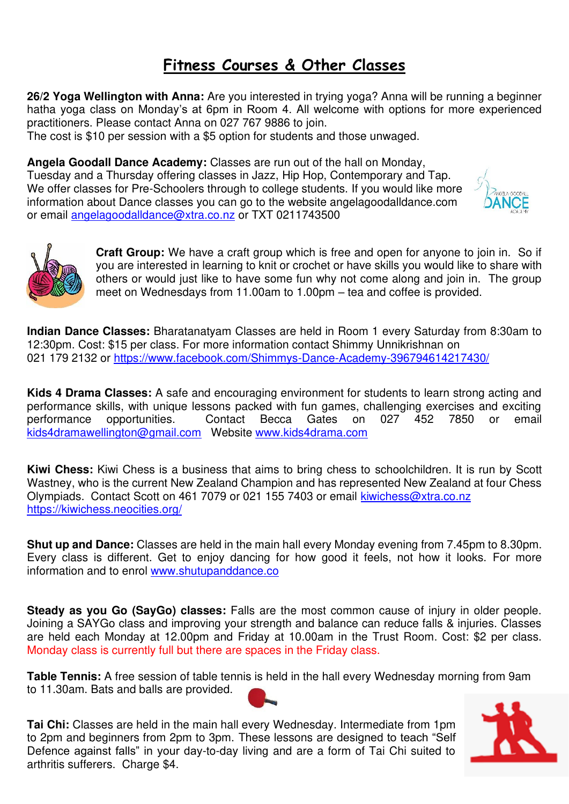## **Fitness Courses & Other Classes**

**26/2 Yoga Wellington with Anna:** Are you interested in trying yoga? Anna will be running a beginner hatha yoga class on Monday's at 6pm in Room 4. All welcome with options for more experienced practitioners. Please contact Anna on 027 767 9886 to join.

The cost is \$10 per session with a \$5 option for students and those unwaged.

**Angela Goodall Dance Academy:** Classes are run out of the hall on Monday, Tuesday and a Thursday offering classes in Jazz, Hip Hop, Contemporary and Tap.

We offer classes for Pre-Schoolers through to college students. If you would like more information about Dance classes you can go to the website angelagoodalldance.com or email [angelagoodalldance@xtra.co.nz](mailto:angelagoodalldance@xtra.co.nz) or TXT 0211743500





**Craft Group:** We have a craft group which is free and open for anyone to join in. So if you are interested in learning to knit or crochet or have skills you would like to share with others or would just like to have some fun why not come along and join in. The group meet on Wednesdays from 11.00am to 1.00pm – tea and coffee is provided.

**Indian Dance Classes:** Bharatanatyam Classes are held in Room 1 every Saturday from 8:30am to 12:30pm. Cost: \$15 per class. For more information contact Shimmy Unnikrishnan on 021 179 2132 or<https://www.facebook.com/Shimmys-Dance-Academy-396794614217430/>

**Kids 4 Drama Classes:** A safe and encouraging environment for students to learn strong acting and performance skills, with unique lessons packed with fun games, challenging exercises and exciting<br>performance opportunities. Contact Becca Gates on 027 452 7850 or email opportunities. Contact Becca Gates on 027 452 7850 or email [kids4dramawellington@gmail.com](mailto:kids4dramawellington@gmail.com) Website [www.kids4drama.com](http://www.kids4drama.com/) 

**Kiwi Chess:** Kiwi Chess is a business that aims to bring chess to schoolchildren. It is run by Scott Wastney, who is the current New Zealand Champion and has represented New Zealand at four Chess Olympiads. Contact Scott on 461 7079 or 021 155 7403 or email [kiwichess@xtra.co.nz](mailto:kiwichess@xtra.co.nz)  <https://kiwichess.neocities.org/>

**Shut up and Dance:** Classes are held in the main hall every Monday evening from 7.45pm to 8.30pm. Every class is different. Get to enjoy dancing for how good it feels, not how it looks. For more information and to enrol [www.shutupanddance.co](https://l.facebook.com/l.php?u=http%3A%2F%2Fwww.shutupanddance.co%2F&h=ATNhGv84D2njDQA0X5DxeBSE4HGKEdkCzOpo45kxV5bkpDQycZM_jVhIFiQoQ84_WiCpTtY9smGPud5ta-nKn7ziWjXaYGb8944pKqzdwLoAuw1VdQLZDGFH6MX_BJO5yGz1bYg) 

**Steady as you Go (SayGo) classes:** Falls are the most common cause of injury in older people. Joining a SAYGo class and improving your strength and balance can reduce falls & injuries. Classes are held each Monday at 12.00pm and Friday at 10.00am in the Trust Room. Cost: \$2 per class. Monday class is currently full but there are spaces in the Friday class.

**Table Tennis:** A free session of table tennis is held in the hall every Wednesday morning from 9am to 11.30am. Bats and balls are provided.



**Tai Chi:** Classes are held in the main hall every Wednesday. Intermediate from 1pm to 2pm and beginners from 2pm to 3pm. These lessons are designed to teach "Self Defence against falls" in your day-to-day living and are a form of Tai Chi suited to arthritis sufferers. Charge \$4.

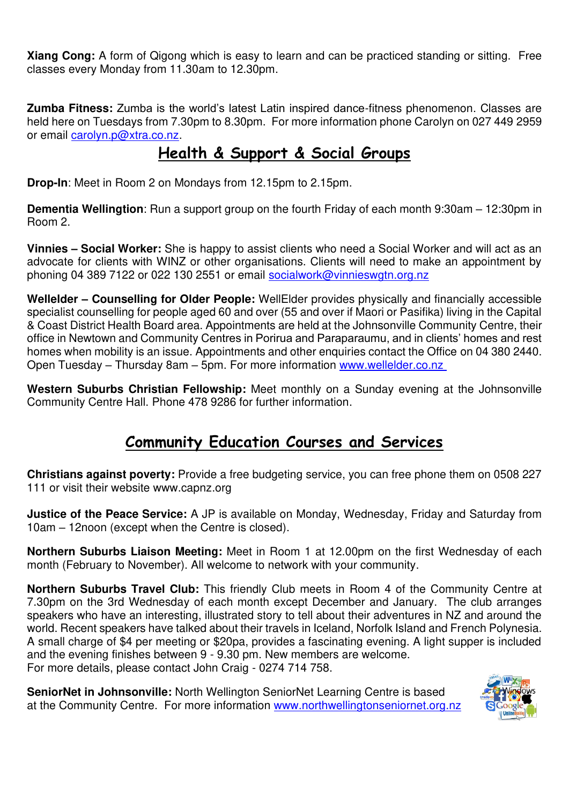**Xiang Cong:** A form of Qigong which is easy to learn and can be practiced standing or sitting. Free classes every Monday from 11.30am to 12.30pm.

**Zumba Fitness:** Zumba is the world's latest Latin inspired dance-fitness phenomenon. Classes are held here on Tuesdays from 7.30pm to 8.30pm. For more information phone Carolyn on 027 449 2959 or email [carolyn.p@xtra.co.nz.](mailto:carolyn.p@xtra.co.nz)

## **Health & Support & Social Groups**

**Drop-In**: Meet in Room 2 on Mondays from 12.15pm to 2.15pm.

**Dementia Wellingtion**: Run a support group on the fourth Friday of each month 9:30am – 12:30pm in Room 2.

**Vinnies – Social Worker:** She is happy to assist clients who need a Social Worker and will act as an advocate for clients with WINZ or other organisations. Clients will need to make an appointment by phoning 04 389 7122 or 022 130 2551 or email [socialwork@vinnieswgtn.org.nz](mailto:socialwork@vinnieswgtn.org.nz)

**Wellelder – Counselling for Older People:** WellElder provides physically and financially accessible specialist counselling for people aged 60 and over (55 and over if Maori or Pasifika) living in the Capital & Coast District Health Board area. Appointments are held at the Johnsonville Community Centre, their office in Newtown and Community Centres in Porirua and Paraparaumu, and in clients' homes and rest homes when mobility is an issue. Appointments and other enquiries contact the Office on 04 380 2440. Open Tuesday – Thursday 8am – 5pm. For more information [www.wellelder.co.nz](http://www.wellelder.co.nz/) 

**Western Suburbs Christian Fellowship:** Meet monthly on a Sunday evening at the Johnsonville Community Centre Hall. Phone 478 9286 for further information.

## **Community Education Courses and Services**

**Christians against poverty:** Provide a free budgeting service, you can free phone them on 0508 227 111 or visit their website www.capnz.org

**Justice of the Peace Service:** A JP is available on Monday, Wednesday, Friday and Saturday from 10am – 12noon (except when the Centre is closed).

**Northern Suburbs Liaison Meeting:** Meet in Room 1 at 12.00pm on the first Wednesday of each month (February to November). All welcome to network with your community.

**Northern Suburbs Travel Club:** This friendly Club meets in Room 4 of the Community Centre at 7.30pm on the 3rd Wednesday of each month except December and January. The club arranges speakers who have an interesting, illustrated story to tell about their adventures in NZ and around the world. Recent speakers have talked about their travels in Iceland, Norfolk Island and French Polynesia. A small charge of \$4 per meeting or \$20pa, provides a fascinating evening. A light supper is included and the evening finishes between 9 - 9.30 pm. New members are welcome. For more details, please contact John Craig - 0274 714 758.

**SeniorNet in Johnsonville:** North Wellington SeniorNet Learning Centre is based at the Community Centre. For more information [www.northwellingtonseniornet.org.nz](http://www.northwellingtonseniornet.org.nz/) 

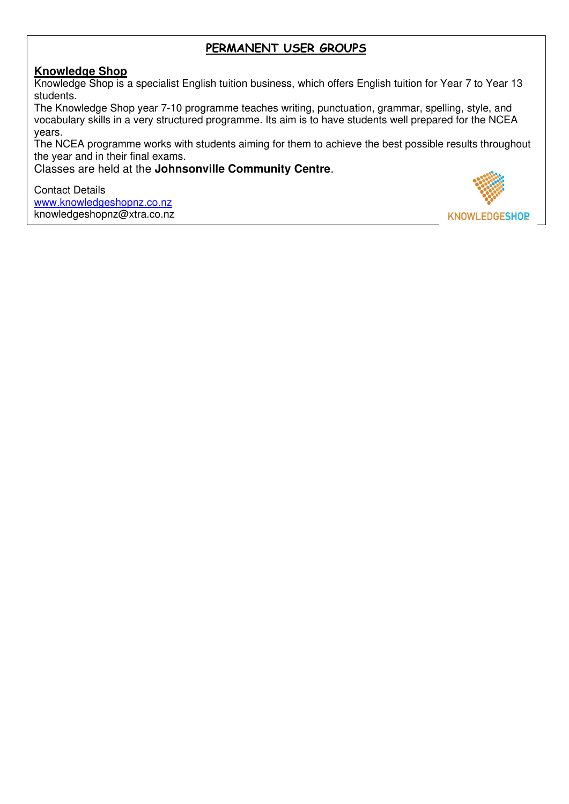### **PERMANENT USER GROUPS**

#### **Knowledge Shop**

Knowledge Shop is a specialist English tuition business, which offers English tuition for Year 7 to Year 13 students.

The Knowledge Shop year 7-10 programme teaches writing, punctuation, grammar, spelling, style, and vocabulary skills in a very structured programme. Its aim is to have students well prepared for the NCEA years.

The NCEA programme works with students aiming for them to achieve the best possible results throughout the year and in their final exams.

Classes are held at the **Johnsonville Community Centre**.

Contact Details [www.knowledgeshopnz.co.nz](http://www.knowledgeshopnz.co.nz/) knowledgeshopnz@xtra.co.nz

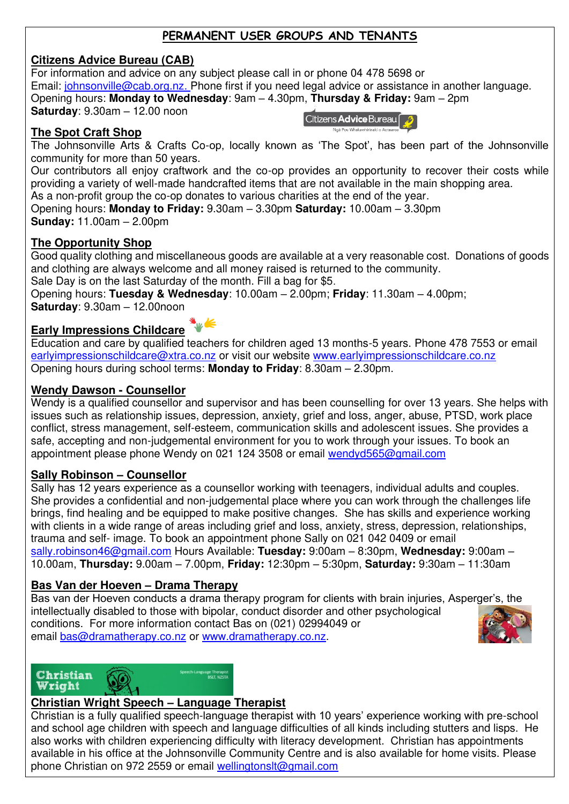### **PERMANENT USER GROUPS AND TENANTS**

#### **Citizens Advice Bureau (CAB)**

For information and advice on any subject please call in or phone 04 478 5698 or Email: *johnsonville@cab.org.nz.* Phone first if you need legal advice or assistance in another language. Opening hours: **Monday to Wednesday**: 9am – 4.30pm, **Thursday & Friday:** 9am – 2pm **Saturday**: 9.30am – 12.00 noon Citizens Advice Bureau

#### **The Spot Craft Shop**

The Johnsonville Arts & Crafts Co-op, locally known as 'The Spot', has been part of the Johnsonville community for more than 50 years.

Our contributors all enjoy craftwork and the co-op provides an opportunity to recover their costs while providing a variety of well-made handcrafted items that are not available in the main shopping area. As a non-profit group the co-op donates to various charities at the end of the year.

Opening hours: **Monday to Friday:** 9.30am – 3.30pm **Saturday:** 10.00am – 3.30pm

**Sunday:** 11.00am – 2.00pm

#### **The Opportunity Shop**

Good quality clothing and miscellaneous goods are available at a very reasonable cost. Donations of goods and clothing are always welcome and all money raised is returned to the community.

Sale Day is on the last Saturday of the month. Fill a bag for \$5.

Opening hours: **Tuesday & Wednesday**: 10.00am – 2.00pm; **Friday**: 11.30am – 4.00pm; **Saturday**: 9.30am – 12.00noon

#### **Early Impressions Childcare**

Education and care by qualified teachers for children aged 13 months-5 years. Phone 478 7553 or email [earlyimpressionschildcare@xtra.co.nz](mailto:earlyimpressionschildcare@xtra.co.nz) or visit our website www.earlyimpressionschildcare.co.nz Opening hours during school terms: **Monday to Friday**: 8.30am – 2.30pm.

#### **Wendy Dawson - Counsellor**

Wendy is a qualified counsellor and supervisor and has been counselling for over 13 years. She helps with issues such as relationship issues, depression, anxiety, grief and loss, anger, abuse, PTSD, work place conflict, stress management, self-esteem, communication skills and adolescent issues. She provides a safe, accepting and non-judgemental environment for you to work through your issues. To book an appointment please phone Wendy on 021 124 3508 or email [wendyd565@gmail.com](mailto:wendyd565@gmail.com)

#### **Sally Robinson – Counsellor**

Sally has 12 years experience as a counsellor working with teenagers, individual adults and couples. She provides a confidential and non-judgemental place where you can work through the challenges life brings, find healing and be equipped to make positive changes. She has skills and experience working with clients in a wide range of areas including grief and loss, anxiety, stress, depression, relationships, trauma and self- image. To book an appointment phone Sally on 021 042 0409 or email [sally.robinson46@gmail.com](mailto:sally.robinson46@gmail.com) Hours Available: **Tuesday:** 9:00am – 8:30pm, **Wednesday:** 9:00am – 10.00am, **Thursday:** 9.00am – 7.00pm, **Friday:** 12:30pm – 5:30pm, **Saturday:** 9:30am – 11:30am

#### **Bas Van der Hoeven – Drama Therapy**

Bas van der Hoeven conducts a drama therapy program for clients with brain injuries, Asperger's, the intellectually disabled to those with bipolar, conduct disorder and other psychological conditions. For more information contact Bas on (021) 02994049 or email bas@dramatherapy.co.nz or [www.dramatherapy.co.nz.](http://www.dramatherapy.co.nz/)



### Christian Wright

#### **Christian Wright Speech – Language Therapist**

Christian is a fully qualified speech-language therapist with 10 years' experience working with pre-school and school age children with speech and language difficulties of all kinds including stutters and lisps. He also works with children experiencing difficulty with literacy development. Christian has appointments available in his office at the Johnsonville Community Centre and is also available for home visits. Please phone Christian on 972 2559 or email [wellingtonslt@gmail.com](mailto:wellingtonslt@gmail.com)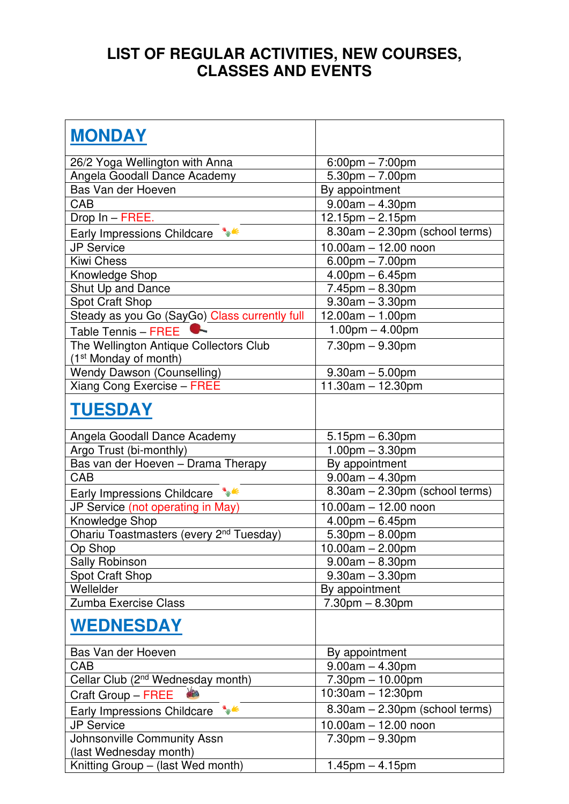## **LIST OF REGULAR ACTIVITIES, NEW COURSES, CLASSES AND EVENTS**

| <b>MONDAY</b>                                       |                                   |
|-----------------------------------------------------|-----------------------------------|
| 26/2 Yoga Wellington with Anna                      | $6:00 \text{pm} - 7:00 \text{pm}$ |
| Angela Goodall Dance Academy                        | $5.30$ pm $- 7.00$ pm             |
| Bas Van der Hoeven                                  | By appointment                    |
| CAB                                                 | $9.00am - 4.30pm$                 |
| Drop In - FREE.                                     | $12.15$ pm $- 2.15$ pm            |
| $\frac{1}{2}$<br>Early Impressions Childcare        | 8.30am - 2.30pm (school terms)    |
| <b>JP Service</b>                                   | $10.00$ am $- 12.00$ noon         |
| <b>Kiwi Chess</b>                                   | $6.00$ pm $- 7.00$ pm             |
| Knowledge Shop                                      | $4.00$ pm $-6.45$ pm              |
| Shut Up and Dance                                   | $7.45pm - 8.30pm$                 |
| <b>Spot Craft Shop</b>                              | $9.30$ am $-3.30$ pm              |
| Steady as you Go (SayGo) Class currently full       | $12.00am - 1.00pm$                |
| Table Tennis - FREE                                 | $1.00pm - 4.00pm$                 |
| The Wellington Antique Collectors Club              | $7.30pm - 9.30pm$                 |
| (1 <sup>st</sup> Monday of month)                   |                                   |
| <b>Wendy Dawson (Counselling)</b>                   | $9.30$ am $- 5.00$ pm             |
| Xiang Cong Exercise - FREE                          | $11.30am - 12.30pm$               |
| <b>TUESDAY</b>                                      |                                   |
| Angela Goodall Dance Academy                        | $5.15$ pm $-6.30$ pm              |
| Argo Trust (bi-monthly)                             | $1.00$ pm $-3.30$ pm              |
| Bas van der Hoeven - Drama Therapy                  | By appointment                    |
| CAB                                                 | $9.00am - 4.30pm$                 |
| $\frac{1}{2}$<br>Early Impressions Childcare        | 8.30am - 2.30pm (school terms)    |
| JP Service (not operating in May)                   | 10.00am - 12.00 noon              |
| Knowledge Shop                                      | $4.00$ pm $-6.45$ pm              |
| Ohariu Toastmasters (every 2 <sup>nd</sup> Tuesday) | $5.30$ pm $- 8.00$ pm             |
| Op Shop                                             | $10.00am - 2.00pm$                |
| <b>Sally Robinson</b>                               | $9.00am - 8.30pm$                 |
| <b>Spot Craft Shop</b>                              | $9.30$ am $-3.30$ pm              |
| Wellelder                                           | By appointment                    |
| Zumba Exercise Class                                | $7.30pm - 8.30pm$                 |
| <b>WEDNESDAY</b>                                    |                                   |
| Bas Van der Hoeven                                  | By appointment                    |
| CAB                                                 | $9.00am - 4.30pm$                 |
| Cellar Club (2 <sup>nd</sup> Wednesday month)       | $7.30$ pm $- 10.00$ pm            |
| Craft Group - FREE                                  | 10:30am - 12:30pm                 |
| ₩<br>Early Impressions Childcare                    | 8.30am - 2.30pm (school terms)    |
| <b>JP Service</b>                                   | $10.00am - 12.00noon$             |
| Johnsonville Community Assn                         | $7.30pm - 9.30pm$                 |
| (last Wednesday month)                              |                                   |
| Knitting Group - (last Wed month)                   | $1.45$ pm $- 4.15$ pm             |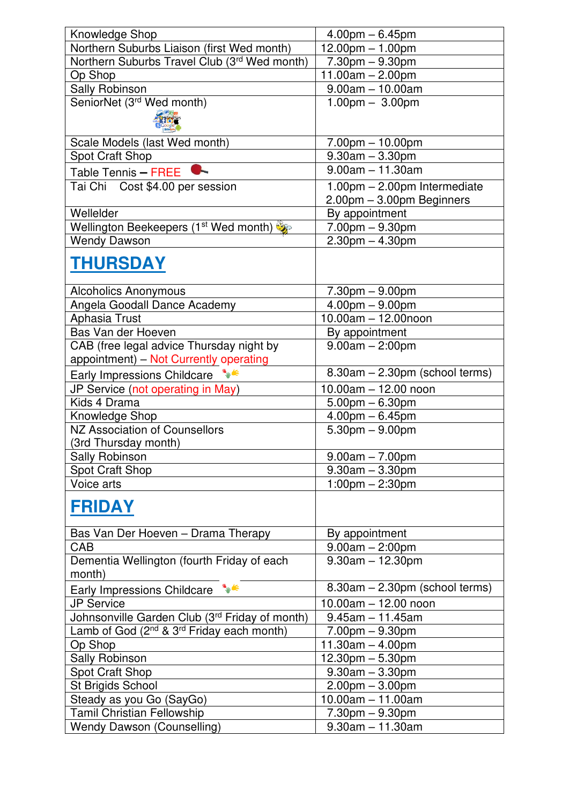| Knowledge Shop                                                    | $4.00$ pm $-6.45$ pm                    |
|-------------------------------------------------------------------|-----------------------------------------|
| Northern Suburbs Liaison (first Wed month)                        | $12.00$ pm $- 1.00$ pm                  |
| Northern Suburbs Travel Club (3rd Wed month)                      | $\frac{1}{7}$ .30pm – 9.30pm            |
| Op Shop                                                           | 11.00am $- 2.00$ pm                     |
| Sally Robinson                                                    | $9.00am - 10.00am$                      |
| SeniorNet (3rd Wed month)                                         | $1.00 \text{pm} - 3.00 \text{pm}$       |
|                                                                   |                                         |
|                                                                   |                                         |
| Scale Models (last Wed month)                                     | $7.00$ pm $-10.00$ pm                   |
| <b>Spot Craft Shop</b>                                            | $9.30am - 3.30pm$                       |
| Table Tennis - FREE                                               | $9.00am - 11.30am$                      |
| Tai Chi Cost \$4.00 per session                                   | 1.00pm - 2.00pm Intermediate            |
|                                                                   | 2.00pm - 3.00pm Beginners               |
| Wellelder                                                         | By appointment                          |
| Wellington Beekeepers (1 <sup>st</sup> Wed month)                 | $7.00$ pm $-9.30$ pm                    |
| <b>Wendy Dawson</b>                                               | $2.30$ pm $- 4.30$ pm                   |
|                                                                   |                                         |
| <b>THURSDAY</b>                                                   |                                         |
|                                                                   |                                         |
| <b>Alcoholics Anonymous</b>                                       | $7.30pm - 9.00pm$                       |
| Angela Goodall Dance Academy                                      | $4.00 \text{pm} - 9.00 \text{pm}$       |
| Aphasia Trust                                                     | $10.00am - 12.00noon$                   |
| Bas Van der Hoeven                                                | By appointment                          |
| CAB (free legal advice Thursday night by                          | $9.00am - 2:00pm$                       |
| appointment) - Not Currently operating                            |                                         |
| Early Impressions Childcare **                                    | 8.30am - 2.30pm (school terms)          |
| JP Service (not operating in May)                                 | 10.00am - 12.00 noon                    |
| Kids 4 Drama                                                      | $5.00$ pm $-6.30$ pm                    |
| Knowledge Shop                                                    | $4.00$ pm $-6.45$ pm                    |
| NZ Association of Counsellors                                     | $5.30$ pm $-9.00$ pm                    |
| (3rd Thursday month)                                              |                                         |
| Sally Robinson                                                    | $9.00am - 7.00pm$                       |
| <b>Spot Craft Shop</b>                                            | $9.30$ am $-3.30$ pm                    |
| Voice arts                                                        | $1:00$ pm $- 2:30$ pm                   |
|                                                                   |                                         |
| <b>FRIDAY</b>                                                     |                                         |
|                                                                   |                                         |
| Bas Van Der Hoeven - Drama Therapy<br>CAB                         | By appointment                          |
|                                                                   | $9.00am - 2:00pm$<br>$9.30am - 12.30pm$ |
| Dementia Wellington (fourth Friday of each<br>month)              |                                         |
| $\mathbf{w}$                                                      | 8.30am - 2.30pm (school terms)          |
| Early Impressions Childcare                                       |                                         |
| <b>JP Service</b>                                                 | $10.00am - 12.00noon$                   |
| Johnsonville Garden Club (3rd Friday of month)                    | $9.45$ am $-11.45$ am                   |
| Lamb of God (2 <sup>nd</sup> & 3 <sup>rd</sup> Friday each month) | $7.00pm - 9.30pm$                       |
| Op Shop                                                           | $11.30am - 4.00pm$                      |
| Sally Robinson                                                    | 12.30pm - 5.30pm                        |
| Spot Craft Shop                                                   | $9.30am - 3.30pm$                       |
| St Brigids School                                                 | $2.00$ pm $-3.00$ pm                    |
| Steady as you Go (SayGo)                                          | $10.00am - 11.00am$                     |
| Tamil Christian Fellowship                                        | $7.30$ pm $-9.30$ pm                    |
| <b>Wendy Dawson (Counselling)</b>                                 | $9.30am - 11.30am$                      |